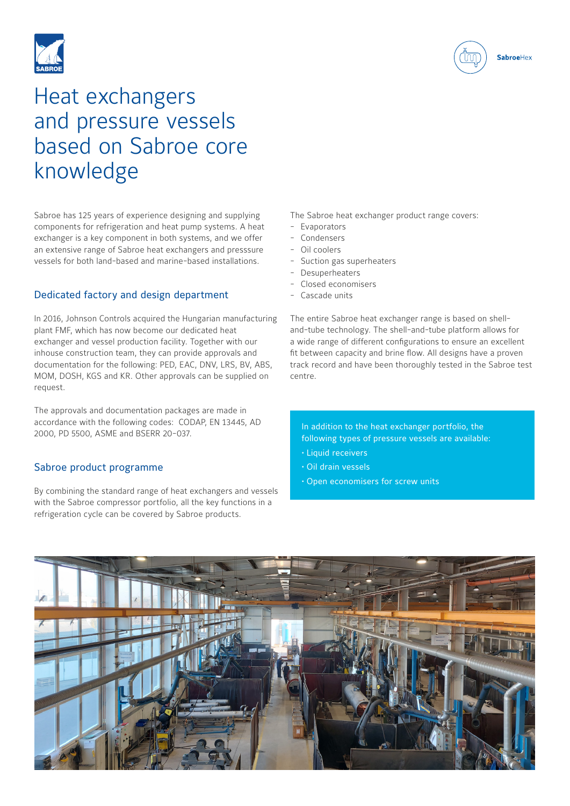

**Sabroe**Hex



# Heat exchangers and pressure vessels based on Sabroe core knowledge

Sabroe has 125 years of experience designing and supplying components for refrigeration and heat pump systems. A heat exchanger is a key component in both systems, and we offer an extensive range of Sabroe heat exchangers and presssure vessels for both land-based and marine-based installations.

### Dedicated factory and design department

In 2016, Johnson Controls acquired the Hungarian manufacturing plant FMF, which has now become our dedicated heat exchanger and vessel production facility. Together with our inhouse construction team, they can provide approvals and documentation for the following: PED, EAC, DNV, LRS, BV, ABS, MOM, DOSH, KGS and KR. Other approvals can be supplied on request.

The approvals and documentation packages are made in accordance with the following codes: CODAP, EN 13445, AD 2000, PD 5500, ASME and BSERR 20-037.

#### Sabroe product programme

By combining the standard range of heat exchangers and vessels with the Sabroe compressor portfolio, all the key functions in a refrigeration cycle can be covered by Sabroe products.

The Sabroe heat exchanger product range covers:

- Evaporators
- Condensers
- Oil coolers
- Suction gas superheaters
- **Desuperheaters**
- Closed economisers
- Cascade units

The entire Sabroe heat exchanger range is based on shelland-tube technology. The shell-and-tube platform allows for a wide range of different configurations to ensure an excellent fit between capacity and brine flow. All designs have a proven track record and have been thoroughly tested in the Sabroe test centre.

In addition to the heat exchanger portfolio, the following types of pressure vessels are available:

- Liquid receivers
- Oil drain vessels
- Open economisers for screw units